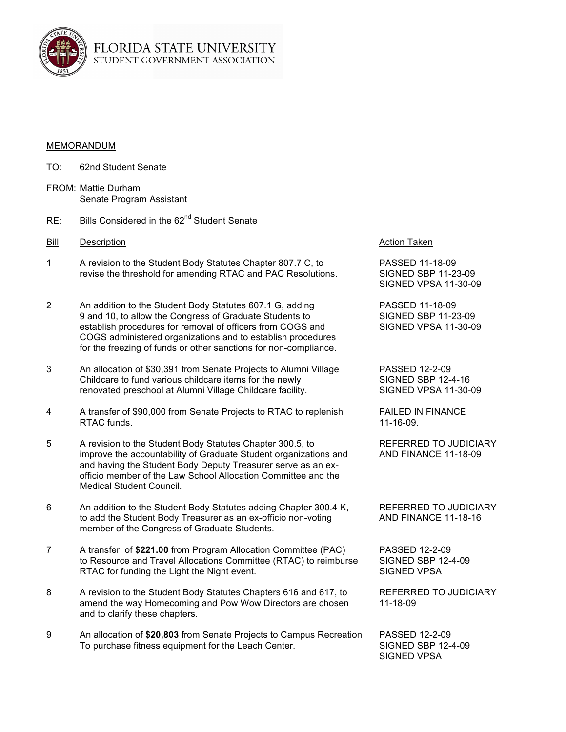

## MEMORANDUM

- TO: 62nd Student Senate
- FROM: Mattie Durham Senate Program Assistant
- RE: Bills Considered in the 62<sup>nd</sup> Student Senate
- Bill Description **Action Action Taken** Bill Description
- 1 A revision to the Student Body Statutes Chapter 807.7 C, to PASSED 11-18-09 revise the threshold for amending RTAC and PAC Resolutions. SIGNED SBP 11-23-09
- 2 An addition to the Student Body Statutes 607.1 G, adding PASSED 11-18-09 9 and 10, to allow the Congress of Graduate Students to SIGNED SBP 11-23-09 establish procedures for removal of officers from COGS and SIGNED VPSA 11-30-09 COGS administered organizations and to establish procedures for the freezing of funds or other sanctions for non-compliance.
- 3 An allocation of \$30,391 from Senate Projects to Alumni Village PASSED 12-2-09 Childcare to fund various childcare items for the newly SIGNED SBP 12-4-16 renovated preschool at Alumni Village Childcare facility. SIGNED VPSA 11-30-09
- 4 A transfer of \$90,000 from Senate Projects to RTAC to replenish FAILED IN FINANCE RTAC funds. (11-16-09.)
- 5 A revision to the Student Body Statutes Chapter 300.5, to REFERRED TO JUDICIARY improve the accountability of Graduate Student organizations and AND FINANCE 11-18-09 and having the Student Body Deputy Treasurer serve as an exofficio member of the Law School Allocation Committee and the Medical Student Council.
- 6 An addition to the Student Body Statutes adding Chapter 300.4 K, REFERRED TO JUDICIARY to add the Student Body Treasurer as an ex-officio non-voting AND FINANCE 11-18-16 member of the Congress of Graduate Students.
- 7 A transfer of **\$221.00** from Program Allocation Committee (PAC) PASSED 12-2-09 to Resource and Travel Allocations Committee (RTAC) to reimburse RTAC for funding the Light the Night event. SIGNED VPSA
- 8 A revision to the Student Body Statutes Chapters 616 and 617, to REFERRED TO JUDICIARY amend the way Homecoming and Pow Wow Directors are chosen 11-18-09 and to clarify these chapters.
- 9 An allocation of **\$20,803** from Senate Projects to Campus Recreation PASSED 12-2-09 To purchase fitness equipment for the Leach Center. SIGNED SBP 12-4-09

SIGNED VPSA 11-30-09

SIGNED VPSA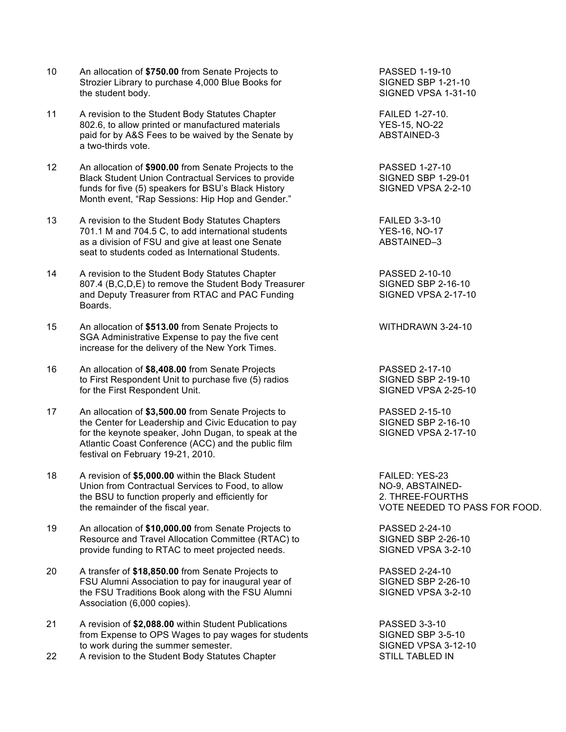- 10 An allocation of **\$750.00** from Senate Projects to PASSED 1-19-10<br>Strozier Library to purchase 4,000 Blue Books for SIGNED SBP 1-21-10 Strozier Library to purchase 4,000 Blue Books for the student body. The student body.
- 11 A revision to the Student Body Statutes Chapter Fail Example 1-27-10. 802.6, to allow printed or manufactured materials YES-15, NO-22 paid for by A&S Fees to be waived by the Senate by ABSTAINED-3 a two-thirds vote.
- 12 An allocation of **\$900.00** from Senate Projects to the PASSED 1-27-10 Black Student Union Contractual Services to provide SIGNED SBP 1-29-01 funds for five (5) speakers for BSU's Black History SIGNED VPSA 2-2-10 Month event, "Rap Sessions: Hip Hop and Gender."
- 13 A revision to the Student Body Statutes Chapters **FAILED** 3-3-10 701.1 M and 704.5 C, to add international students YES-16, NO-17 as a division of FSU and give at least one Senate ABSTAINED-3 seat to students coded as International Students.
- 14 A revision to the Student Body Statutes Chapter **PASSED 2-10-10** 807.4 (B,C,D,E) to remove the Student Body Treasurer SIGNED SBP 2-16-10<br>and Deputy Treasurer from RTAC and PAC Funding SIGNED VPSA 2-17-10 and Deputy Treasurer from RTAC and PAC Funding Boards.
- 15 An allocation of **\$513.00** from Senate Projects to WITHDRAWN 3-24-10 SGA Administrative Expense to pay the five cent increase for the delivery of the New York Times.
- 16 An allocation of **\$8,408.00** from Senate Projects PASSED 2-17-10 to First Respondent Unit to purchase five (5) radios SIGNED SBP 2-19-10 for the First Respondent Unit. The SIGNED VPSA 2-25-10
- 17 An allocation of **\$3,500.00** from Senate Projects to PASSED 2-15-10 the Center for Leadership and Civic Education to pay SIGNED SBP 2-16-10<br>
for the keynote speaker. John Dugan, to speak at the SIGNED VPSA 2-17-10 for the keynote speaker, John Dugan, to speak at the Atlantic Coast Conference (ACC) and the public film festival on February 19-21, 2010.
- 18 A revision of **\$5,000.00** within the Black Student FAILED: YES-23 Union from Contractual Services to Food, to allow NO-9, ABSTAINEDthe BSU to function properly and efficiently for 2. THREE-FOURTHS the remainder of the fiscal year. VOTE NEEDED TO PASS FOR FOOD.
- 19 An allocation of **\$10,000.00** from Senate Projects to PASSED 2-24-10 Resource and Travel Allocation Committee (RTAC) to SIGNED SBP 2-26-10<br>provide funding to RTAC to meet projected needs. SIGNED VPSA 3-2-10 provide funding to RTAC to meet projected needs.
- 20 A transfer of **\$18,850.00** from Senate Projects to PASSED 2-24-10 FSU Alumni Association to pay for inaugural year of SIGNED SBP 2-26-10 the FSU Traditions Book along with the FSU Alumni SIGNED VPSA 3-2-10 Association (6,000 copies).
- 21 A revision of **\$2,088.00** within Student Publications PASSED 3-3-10 from Expense to OPS Wages to pay wages for students SIGNED SBP 3-5-10 to work during the summer semester. The state of the SIGNED VPSA 3-12-10
- 22 A revision to the Student Body Statutes Chapter STILL TABLED IN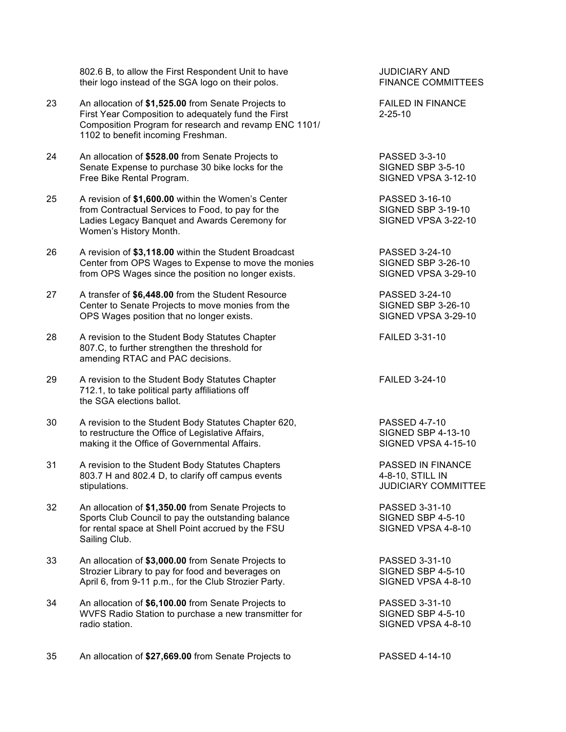802.6 B, to allow the First Respondent Unit to have  $\overline{S}$  JUDICIARY AND<br>their logo instead of the SGA logo on their polos. Their FINANCE COMMITTEES their logo instead of the SGA logo on their polos.

- 23 An allocation of \$1,525.00 from Senate Projects to FAILED IN FINANCE First Year Composition to adequately fund the First 2-25-10 Composition Program for research and revamp ENC 1101/ 1102 to benefit incoming Freshman.
- 24 An allocation of **\$528.00** from Senate Projects to **PASSED 3-3-10**<br>
Senate Expense to purchase 30 bike locks for the **Proton Constant SIGNED SBP** 3-5-10 Senate Expense to purchase 30 bike locks for the SIGNED SBP 3-5-10<br>
Free Bike Rental Program. SIGNED VPSA 3-12-10 Free Bike Rental Program.
- 25 A revision of **\$1,600.00** within the Women's Center PASSED 3-16-10 from Contractual Services to Food, to pay for the SIGNED SBP 3-19-10 Ladies Legacy Banquet and Awards Ceremony for SIGNED VPSA 3-22-10 Women's History Month.
- 26 A revision of **\$3,118.00** within the Student Broadcast PASSED 3-24-10 Center from OPS Wages to Expense to move the monies SIGNED SBP 3-26-10 from OPS Wages since the position no longer exists. SIGNED VPSA 3-29-10
- 27 A transfer of **\$6,448.00** from the Student Resource PASSED 3-24-10 Center to Senate Projects to move monies from the SIGNED SBP 3-26-10 OPS Wages position that no longer exists. SIGNED VPSA 3-29-10
- 28 A revision to the Student Body Statutes Chapter FAILED 3-31-10 807.C, to further strengthen the threshold for amending RTAC and PAC decisions.
- 29 A revision to the Student Body Statutes Chapter FAILED 3-24-10 712.1, to take political party affiliations off the SGA elections ballot.
- 30 A revision to the Student Body Statutes Chapter 620, PASSED 4-7-10 to restructure the Office of Legislative Affairs, SIGNED SBP 4-13-10 making it the Office of Governmental Affairs. SIGNED VPSA 4-15-10
- 31 A revision to the Student Body Statutes Chapters PASSED IN FINANCE 803.7 H and 802.4 D, to clarify off campus events 4-8-10, STILL IN stipulations. JUDICIARY COMMITTEE
- 32 An allocation of **\$1,350.00** from Senate Projects to PASSED 3-31-10 Sports Club Council to pay the outstanding balance SIGNED SBP 4-5-10<br>
for rental space at Shell Point accrued by the FSU SIGNED VPSA 4-8-10 for rental space at Shell Point accrued by the FSU Sailing Club.
- 33 An allocation of **\$3,000.00** from Senate Projects to PASSED 3-31-10 Strozier Library to pay for food and beverages on SIGNED SBP 4-5-10 April 6, from 9-11 p.m., for the Club Strozier Party. SIGNED VPSA 4-8-10
- 34 An allocation of **\$6,100.00** from Senate Projects to PASSED 3-31-10 WVFS Radio Station to purchase a new transmitter for SIGNED SBP 4-5-10 radio station. The station of the station of the station of the station of the station of the station of the station of the station of the station of the station of the station of the station of the station of the station

35 An allocation of **\$27,669.00** from Senate Projects to PASSED 4-14-10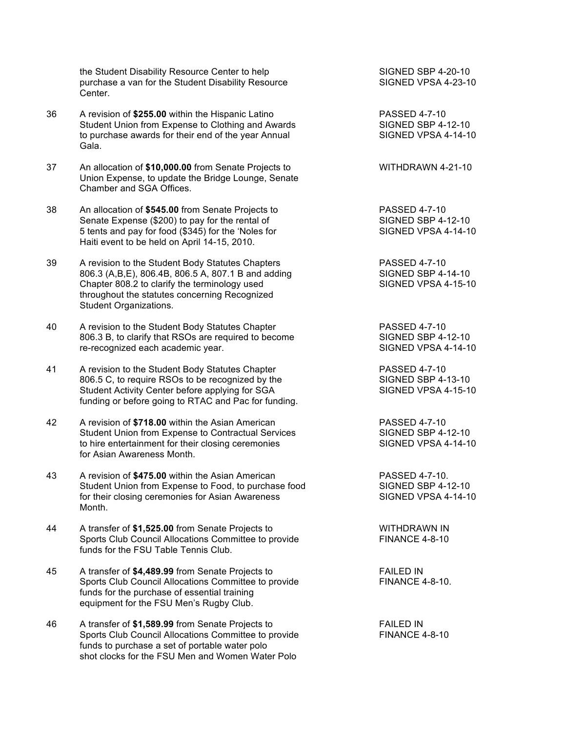the Student Disability Resource Center to help SIGNED SBP 4-20-10<br>
purchase a van for the Student Disability Resource SIGNED VPSA 4-23-10 purchase a van for the Student Disability Resource Center.

- 36 A revision of **\$255.00** within the Hispanic Latino PASSED 4-7-10 Student Union from Expense to Clothing and Awards SIGNED SBP 4-12-10 to purchase awards for their end of the year Annual SIGNED VPSA 4-14-10 Gala.
- 37 An allocation of \$10,000.00 from Senate Projects to WITHDRAWN 4-21-10 Union Expense, to update the Bridge Lounge, Senate Chamber and SGA Offices.
- 38 An allocation of **\$545.00** from Senate Projects to PASSED 4-7-10<br>Senate Expense (\$200) to pay for the rental of SIGNED SBP 4-12-10 Senate Expense (\$200) to pay for the rental of 5 tents and pay for food (\$345) for the 'Noles for SIGNED VPSA 4-14-10 Haiti event to be held on April 14-15, 2010.
- 39 A revision to the Student Body Statutes Chapters PASSED 4-7-10 806.3 (A,B,E), 806.4B, 806.5 A, 807.1 B and adding SIGNED SBP 4-14-10 Chapter 808.2 to clarify the terminology used SIGNED VPSA 4-15-10 throughout the statutes concerning Recognized Student Organizations.
- 40 A revision to the Student Body Statutes Chapter **PASSED** 4-7-10 806.3 B, to clarify that RSOs are required to become SIGNED SBP 4-12-10 re-recognized each academic year. SIGNED VPSA 4-14-10
- 41 A revision to the Student Body Statutes Chapter The Chapter RASSED 4-7-10 806.5 C, to require RSOs to be recognized by the SIGNED SBP 4-13-10 Student Activity Center before applying for SGA SIGNED VPSA 4-15-10 funding or before going to RTAC and Pac for funding.
- 42 A revision of **\$718.00** within the Asian American PASSED 4-7-10 Student Union from Expense to Contractual Services SIGNED SBP 4-12-10 to hire entertainment for their closing ceremonies SIGNED VPSA 4-14-10 for Asian Awareness Month.
- 43 A revision of **\$475.00** within the Asian American PASSED 4-7-10. Student Union from Expense to Food, to purchase food SIGNED SBP 4-12-10 for their closing ceremonies for Asian Awareness SIGNED VPSA 4-14-10 Month.
- 44 A transfer of \$1,525.00 from Senate Projects to WITHDRAWN IN Sports Club Council Allocations Committee to provide FINANCE 4-8-10 funds for the FSU Table Tennis Club.
- 45 A transfer of **\$4,489.99** from Senate Projects to FAILED IN Sports Club Council Allocations Committee to provide FINANCE 4-8-10. funds for the purchase of essential training equipment for the FSU Men's Rugby Club.
- 46 A transfer of **\$1,589.99** from Senate Projects to FAILED IN Sports Club Council Allocations Committee to provide FINANCE 4-8-10 funds to purchase a set of portable water polo shot clocks for the FSU Men and Women Water Polo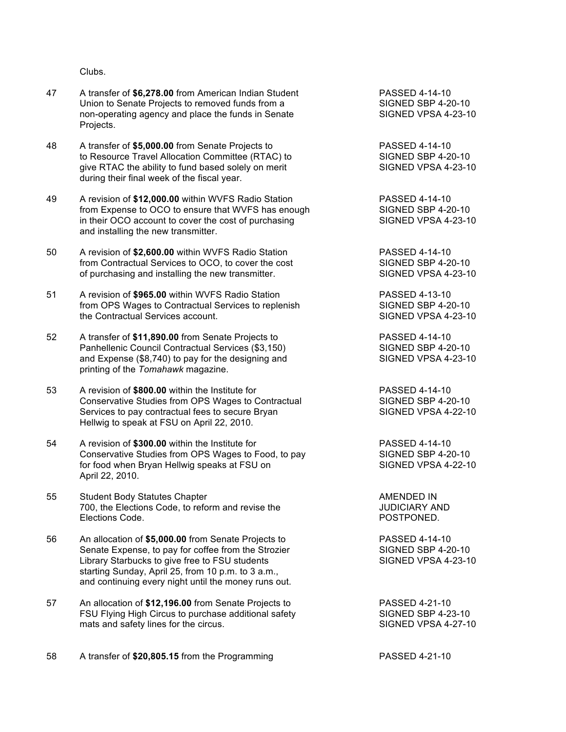Clubs.

- 47 A transfer of **\$6,278.00** from American Indian Student PASSED 4-14-10 Union to Senate Projects to removed funds from a SIGNED SBP 4-20-10 non-operating agency and place the funds in Senate SIGNED VPSA 4-23-10 Projects.
- 48 A transfer of **\$5,000.00** from Senate Projects to PASSED 4-14-10 to Resource Travel Allocation Committee (RTAC) to SIGNED SBP 4-20-10<br>give RTAC the ability to fund based solely on merit SIGNED VPSA 4-23-10 give RTAC the ability to fund based solely on merit during their final week of the fiscal year.
- 49 A revision of **\$12,000.00** within WVFS Radio Station PASSED 4-14-10 from Expense to OCO to ensure that WVFS has enough SIGNED SBP 4-20-10 in their OCO account to cover the cost of purchasing SIGNED VPSA 4-23-10 and installing the new transmitter.
- 50 A revision of **\$2,600.00** within WVFS Radio Station PASSED 4-14-10 from Contractual Services to OCO, to cover the cost SIGNED SBP 4-20-10 of purchasing and installing the new transmitter. SIGNED VPSA 4-23-10
- 51 A revision of **\$965.00** within WVFS Radio Station PASSED 4-13-10 from OPS Wages to Contractual Services to replenish SIGNED SBP 4-20-10 the Contractual Services account. The Contractual Services account. SIGNED VPSA 4-23-10
- 52 A transfer of **\$11,890.00** from Senate Projects to PASSED 4-14-10 Panhellenic Council Contractual Services (\$3,150) SIGNED SBP 4-20-10 and Expense (\$8,740) to pay for the designing and SIGNED VPSA 4-23-10 printing of the *Tomahawk* magazine.
- 53 A revision of **\$800.00** within the Institute for PASSED 4-14-10 Conservative Studies from OPS Wages to Contractual SIGNED SBP 4-20-10 Services to pay contractual fees to secure Bryan SIGNED VPSA 4-22-10 Hellwig to speak at FSU on April 22, 2010.
- 54 A revision of **\$300.00** within the Institute for PASSED 4-14-10 Conservative Studies from OPS Wages to Food, to pay SIGNED SBP 4-20-10 for food when Bryan Hellwig speaks at FSU on SIGNED VPSA 4-22-10 April 22, 2010.

55 Student Body Statutes Chapter AMENDED IN 700, the Elections Code, to reform and revise the **JUDICIARY AND** Elections Code. POSTPONED.

- 56 An allocation of **\$5,000.00** from Senate Projects to PASSED 4-14-10 Senate Expense, to pay for coffee from the Strozier SIGNED SBP 4-20-10 Library Starbucks to give free to FSU students SIGNED VPSA 4-23-10 starting Sunday, April 25, from 10 p.m. to 3 a.m., and continuing every night until the money runs out.
- 57 An allocation of **\$12,196.00** from Senate Projects to PASSED 4-21-10 FSU Flying High Circus to purchase additional safety SIGNED SBP 4-23-10 mats and safety lines for the circus. The state of the signal state of the signal signals and safety lines for the circus.

58 A transfer of **\$20,805.15** from the Programming PASSED 4-21-10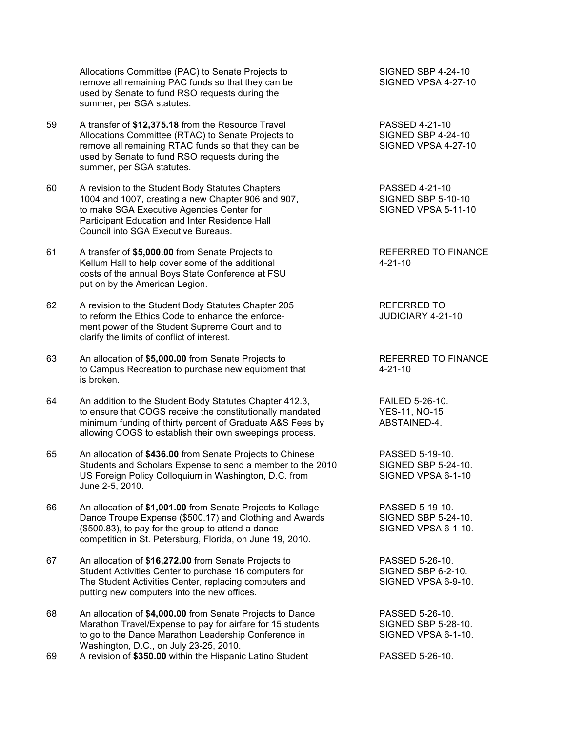Allocations Committee (PAC) to Senate Projects to SIGNED SBP 4-24-10<br>
remove all remaining PAC funds so that they can be SIGNED VPSA 4-27-10 remove all remaining PAC funds so that they can be used by Senate to fund RSO requests during the summer, per SGA statutes.

- 59 A transfer of **\$12,375.18** from the Resource Travel PASSED 4-21-10 Allocations Committee (RTAC) to Senate Projects to SIGNED SBP 4-24-10 remove all remaining RTAC funds so that they can be SIGNED VPSA 4-27-10 used by Senate to fund RSO requests during the summer, per SGA statutes.
- 60 A revision to the Student Body Statutes Chapters<br>1004 and 1007, creating a new Chapter 906 and 907, SIGNED SBP 5-10-10 1004 and 1007, creating a new Chapter 906 and 907, to make SGA Executive Agencies Center for SIGNED VPSA 5-11-10 Participant Education and Inter Residence Hall Council into SGA Executive Bureaus.
- 61 A transfer of **\$5,000.00** from Senate Projects to REFERRED TO FINANCE Kellum Hall to help cover some of the additional  $4-21-10$ costs of the annual Boys State Conference at FSU put on by the American Legion.
- 62 A revision to the Student Body Statutes Chapter 205 REFERRED TO to reform the Ethics Code to enhance the enforce-<br>
JUDICIARY 4-21-10 ment power of the Student Supreme Court and to clarify the limits of conflict of interest.
- 63 An allocation of **\$5,000.00** from Senate Projects to REFERRED TO FINANCE to Campus Recreation to purchase new equipment that 4-21-10 is broken.
- 64 An addition to the Student Body Statutes Chapter 412.3, FAILED 5-26-10. to ensure that COGS receive the constitutionally mandated YES-11, NO-15 minimum funding of thirty percent of Graduate A&S Fees by ABSTAINED-4. allowing COGS to establish their own sweepings process.
- 65 An allocation of **\$436.00** from Senate Projects to Chinese PASSED 5-19-10. Students and Scholars Expense to send a member to the 2010 SIGNED SBP 5-24-10. US Foreign Policy Colloquium in Washington, D.C. from SIGNED VPSA 6-1-10 June 2-5, 2010.
- 66 An allocation of **\$1,001.00** from Senate Projects to Kollage PASSED 5-19-10. Dance Troupe Expense (\$500.17) and Clothing and Awards SIGNED SBP 5-24-10.<br>(\$500.83), to pay for the group to attend a dance SIGNED VPSA 6-1-10.  $($500.83)$ , to pay for the group to attend a dance competition in St. Petersburg, Florida, on June 19, 2010.
- 67 An allocation of **\$16,272.00** from Senate Projects to PASSED 5-26-10. Student Activities Center to purchase 16 computers for SIGNED SBP 6-2-10. The Student Activities Center, replacing computers and SIGNED VPSA 6-9-10. putting new computers into the new offices.
- 68 An allocation of **\$4,000.00** from Senate Projects to Dance PASSED 5-26-10. Marathon Travel/Expense to pay for airfare for 15 students SIGNED SBP 5-28-10. to go to the Dance Marathon Leadership Conference in SIGNED VPSA 6-1-10. Washington, D.C., on July 23-25, 2010.
- 69 A revision of **\$350.00** within the Hispanic Latino Student PASSED 5-26-10.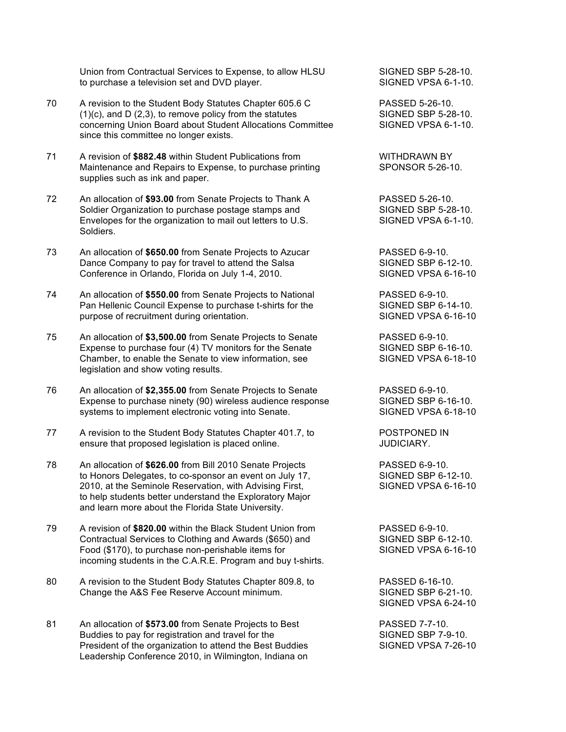Union from Contractual Services to Expense, to allow HLSU SIGNED SBP 5-28-10.<br>
to purchase a television set and DVD player.<br>
SIGNED VPSA 6-1-10. to purchase a television set and DVD player.

- 70 A revision to the Student Body Statutes Chapter 605.6 C PASSED 5-26-10.  $(1)(c)$ , and D  $(2,3)$ , to remove policy from the statutes SIGNED SBP 5-28-10. concerning Union Board about Student Allocations Committee SIGNED VPSA 6-1-10. since this committee no longer exists.
- 71 A revision of **\$882.48** within Student Publications from **WITHDRAWN BY**<br>Maintenance and Repairs to Expense, to purchase printing SPONSOR 5-26-10. Maintenance and Repairs to Expense, to purchase printing supplies such as ink and paper.
- 72 An allocation of **\$93.00** from Senate Projects to Thank A PASSED 5-26-10. Soldier Organization to purchase postage stamps and SIGNED SBP 5-28-10. Envelopes for the organization to mail out letters to U.S. SIGNED VPSA 6-1-10. Soldiers.
- 73 An allocation of **\$650.00** from Senate Projects to Azucar PASSED 6-9-10. Dance Company to pay for travel to attend the Salsa SIGNED SBP 6-12-10. Conference in Orlando, Florida on July 1-4, 2010. SIGNED VPSA 6-16-10
- 74 An allocation of **\$550.00** from Senate Projects to National PASSED 6-9-10. Pan Hellenic Council Expense to purchase t-shirts for the SIGNED SBP 6-14-10. purpose of recruitment during orientation. SIGNED VPSA 6-16-10
- 75 An allocation of **\$3,500.00** from Senate Projects to Senate PASSED 6-9-10. Expense to purchase four (4) TV monitors for the Senate SIGNED SBP 6-16-10. Chamber, to enable the Senate to view information, see SIGNED VPSA 6-18-10 legislation and show voting results.
- 76 An allocation of **\$2,355.00** from Senate Projects to Senate PASSED 6-9-10. Expense to purchase ninety (90) wireless audience response SIGNED SBP 6-16-10. systems to implement electronic voting into Senate. SIGNED VPSA 6-18-10
- 77 A revision to the Student Body Statutes Chapter 401.7, to POSTPONED IN ensure that proposed legislation is placed online. The summary summary summary summary summary summary summary summary summary summary summary summary summary summary summary summary summary summary summary summary summary
- 78 An allocation of **\$626.00** from Bill 2010 Senate Projects PASSED 6-9-10. to Honors Delegates, to co-sponsor an event on July 17, SIGNED SBP 6-12-10. 2010, at the Seminole Reservation, with Advising First, SIGNED VPSA 6-16-10 to help students better understand the Exploratory Major and learn more about the Florida State University.
- 79 A revision of **\$820.00** within the Black Student Union from PASSED 6-9-10. Contractual Services to Clothing and Awards (\$650) and SIGNED SBP 6-12-10. Food (\$170), to purchase non-perishable items for SIGNED VPSA 6-16-10 incoming students in the C.A.R.E. Program and buy t-shirts.
- 80 A revision to the Student Body Statutes Chapter 809.8, to PASSED 6-16-10. Change the A&S Fee Reserve Account minimum. The SIGNED SBP 6-21-10.
- 81 An allocation of **\$573.00** from Senate Projects to Best PASSED 7-7-10. Buddies to pay for registration and travel for the SIGNED SBP 7-9-10. President of the organization to attend the Best Buddies SIGNED VPSA 7-26-10 Leadership Conference 2010, in Wilmington, Indiana on

SIGNED VPSA 6-24-10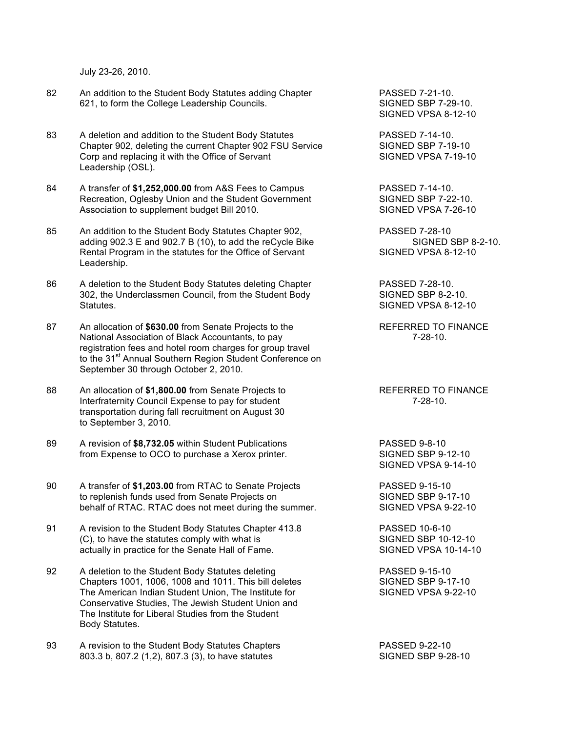July 23-26, 2010.

- 82 An addition to the Student Body Statutes adding Chapter **PASSED 7-21-10.** 621, to form the College Leadership Councils. SIGNED SBP 7-29-10.
- 83 A deletion and addition to the Student Body Statutes **PASSED 7-14-10.** Chapter 902, deleting the current Chapter 902 FSU Service SIGNED SBP 7-19-10 Corp and replacing it with the Office of Servant SIGNED VPSA 7-19-10 Leadership (OSL).
- 84 A transfer of **\$1,252,000.00** from A&S Fees to Campus PASSED 7-14-10.<br>Recreation, Oglesby Union and the Student Government SIGNED SBP 7-22-10. Recreation, Oglesby Union and the Student Government Association to supplement budget Bill 2010. Notice that SIGNED VPSA 7-26-10
- 85 An addition to the Student Body Statutes Chapter 902, PASSED 7-28-10 adding 902.3 E and 902.7 B (10), to add the reCycle Bike SIGNED SBP 8-2-10. Rental Program in the statutes for the Office of Servant SIGNED VPSA 8-12-10 Leadership.
- 86 A deletion to the Student Body Statutes deleting Chapter PASSED 7-28-10. 302, the Underclassmen Council, from the Student Body SIGNED SBP 8-2-10. Statutes. Statutes Statutes Statutes and Statutes Statutes Statutes Statutes Statutes Statutes Statutes and Statutes Statutes Statutes Statutes Statutes Statutes Statutes Statutes Statutes Statutes Statutes Statutes Statut
- 87 An allocation of **\$630.00** from Senate Projects to the REFERRED TO FINANCE National Association of Black Accountants, to pay **1998** 10. registration fees and hotel room charges for group travel to the 31<sup>st</sup> Annual Southern Region Student Conference on September 30 through October 2, 2010.
- 88 An allocation of \$1,800.00 from Senate Projects to REFERRED TO FINANCE Interfraternity Council Expense to pay for student 7-28-10. transportation during fall recruitment on August 30 to September 3, 2010.
- 89 A revision of **\$8,732.05** within Student Publications **PASSED** 9-8-10 from Expense to OCO to purchase a Xerox printer. SIGNED SBP 9-12-10
- 90 A transfer of **\$1,203.00** from RTAC to Senate Projects PASSED 9-15-10 to replenish funds used from Senate Projects on SIGNED SBP 9-17-10 behalf of RTAC. RTAC does not meet during the summer. SIGNED VPSA 9-22-10
- 91 A revision to the Student Body Statutes Chapter 413.8 PASSED 10-6-10 (C), to have the statutes comply with what is SIGNED SBP 10-12-10 actually in practice for the Senate Hall of Fame. SIGNED VPSA 10-14-10
- 92 A deletion to the Student Body Statutes deleting The State States PASSED 9-15-10 Chapters 1001, 1006, 1008 and 1011. This bill deletes SIGNED SBP 9-17-10 The American Indian Student Union, The Institute for SIGNED VPSA 9-22-10 Conservative Studies, The Jewish Student Union and The Institute for Liberal Studies from the Student Body Statutes.
- 93 A revision to the Student Body Statutes Chapters PASSED 9-22-10 803.3 b, 807.2 (1,2), 807.3 (3), to have statutes SIGNED SBP 9-28-10

SIGNED VPSA 8-12-10

SIGNED VPSA 9-14-10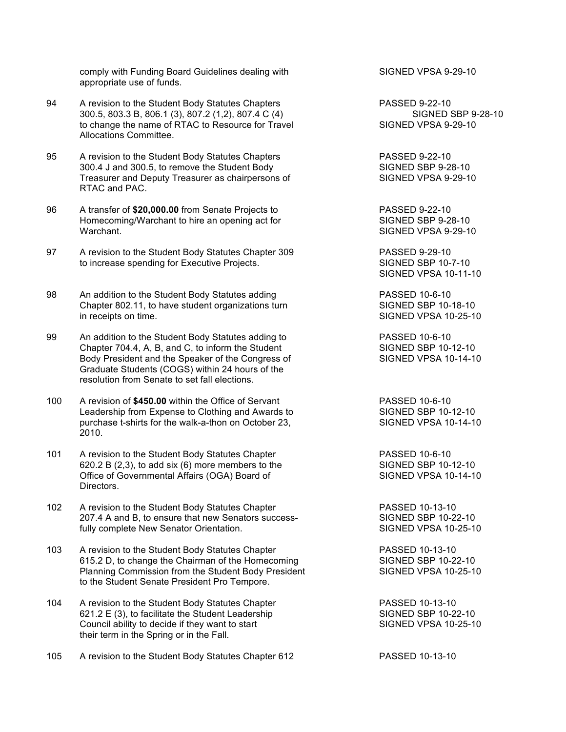comply with Funding Board Guidelines dealing with SIGNED VPSA 9-29-10 appropriate use of funds.

- 94 A revision to the Student Body Statutes Chapters **PASSED** 9-22-10 300.5, 803.3 B, 806.1 (3), 807.2 (1,2), 807.4 C (4) SIGNED SBP 9-28-10 to change the name of RTAC to Resource for Travel SIGNED VPSA 9-29-10 Allocations Committee.
- 95 A revision to the Student Body Statutes Chapters **PASSED 9-22-10**<br>300.4 J and 300.5, to remove the Student Body **Particle State State State State State State** State State State Sta 300.4 J and 300.5, to remove the Student Body SIGNED SBP 9-28-10<br>Treasurer and Deputy Treasurer as chairpersons of SIGNED VPSA 9-29-10 Treasurer and Deputy Treasurer as chairpersons of RTAC and PAC.
- 96 A transfer of **\$20,000.00** from Senate Projects to PASSED 9-22-10 Homecoming/Warchant to hire an opening act for SIGNED SBP 9-28-10 Warchant. SIGNED VPSA 9-29-10
- 97 A revision to the Student Body Statutes Chapter 309 PASSED 9-29-10 to increase spending for Executive Projects. SIGNED SBP 10-7-10
- 98 An addition to the Student Body Statutes adding PASSED 10-6-10 Chapter 802.11, to have student organizations turn SIGNED SBP 10-18-10 in receipts on time. SIGNED VPSA 10-25-10
- 99 An addition to the Student Body Statutes adding to PASSED 10-6-10 Chapter 704.4, A, B, and C, to inform the Student SIGNED SBP 10-12-10 Body President and the Speaker of the Congress of SIGNED VPSA 10-14-10 Graduate Students (COGS) within 24 hours of the resolution from Senate to set fall elections.
- 100 A revision of **\$450.00** within the Office of Servant PASSED 10-6-10 Leadership from Expense to Clothing and Awards to SIGNED SBP 10-12-10 purchase t-shirts for the walk-a-thon on October 23, SIGNED VPSA 10-14-10 2010.
- 101 A revision to the Student Body Statutes Chapter **PASSED** 10-6-10  $620.2 B (2,3)$ , to add six  $(6)$  more members to the SIGNED SBP 10-12-10 Office of Governmental Affairs (OGA) Board of SIGNED VPSA 10-14-10 Directors.
- 102 A revision to the Student Body Statutes Chapter **PASSED 10-13-10** 207.4 A and B, to ensure that new Senators success-<br>
fully complete New Senator Orientation.<br>
SIGNED VPSA 10-25-10 fully complete New Senator Orientation.
- 103 A revision to the Student Body Statutes Chapter **PASSED 10-13-10**<br>615.2 D, to change the Chairman of the Homecoming SIGNED SBP 10-22-10 615.2 D, to change the Chairman of the Homecoming Planning Commission from the Student Body President SIGNED VPSA 10-25-10 to the Student Senate President Pro Tempore.
- 104 A revision to the Student Body Statutes Chapter **PASSED 10-13-10** 621.2 E (3), to facilitate the Student Leadership SIGNED SBP 10-22-10 Council ability to decide if they want to start SIGNED VPSA 10-25-10 their term in the Spring or in the Fall.

105 A revision to the Student Body Statutes Chapter 612 PASSED 10-13-10

SIGNED VPSA 10-11-10